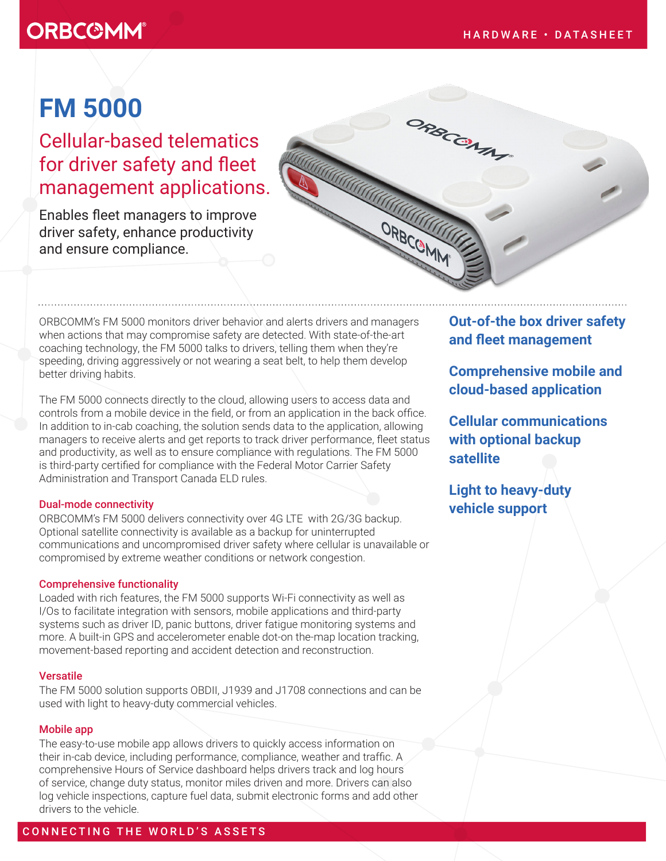## **ORBC@MM®**

# **FM 5000**

Cellular-based telematics for driver safety and fleet management applications.

Enables fleet managers to improve driver safety, enhance productivity and ensure compliance.



ORBCOMM's FM 5000 monitors driver behavior and alerts drivers and managers when actions that may compromise safety are detected. With state-of-the-art coaching technology, the FM 5000 talks to drivers, telling them when they're speeding, driving aggressively or not wearing a seat belt, to help them develop better driving habits.

The FM 5000 connects directly to the cloud, allowing users to access data and controls from a mobile device in the field, or from an application in the back office. In addition to in-cab coaching, the solution sends data to the application, allowing managers to receive alerts and get reports to track driver performance, fleet status and productivity, as well as to ensure compliance with regulations. The FM 5000 is third-party certified for compliance with the Federal Motor Carrier Safety Administration and Transport Canada ELD rules.

#### Dual-mode connectivity

ORBCOMM's FM 5000 delivers connectivity over 4G LTE with 2G/3G backup. Optional satellite connectivity is available as a backup for uninterrupted communications and uncompromised driver safety where cellular is unavailable or compromised by extreme weather conditions or network congestion.

#### Comprehensive functionality

Loaded with rich features, the FM 5000 supports Wi-Fi connectivity as well as I/Os to facilitate integration with sensors, mobile applications and third-party systems such as driver ID, panic buttons, driver fatigue monitoring systems and more. A built-in GPS and accelerometer enable dot-on the-map location tracking, movement-based reporting and accident detection and reconstruction.

### Versatile

The FM 5000 solution supports OBDII, J1939 and J1708 connections and can be used with light to heavy-duty commercial vehicles.

#### Mobile app

The easy-to-use mobile app allows drivers to quickly access information on their in-cab device, including performance, compliance, weather and traffic. A comprehensive Hours of Service dashboard helps drivers track and log hours of service, change duty status, monitor miles driven and more. Drivers can also log vehicle inspections, capture fuel data, submit electronic forms and add other drivers to the vehicle.

### **Out-of-the box driver safety and fleet management**

**Comprehensive mobile and cloud-based application** 

**Cellular communications with optional backup satellite** 

**Light to heavy-duty vehicle support**